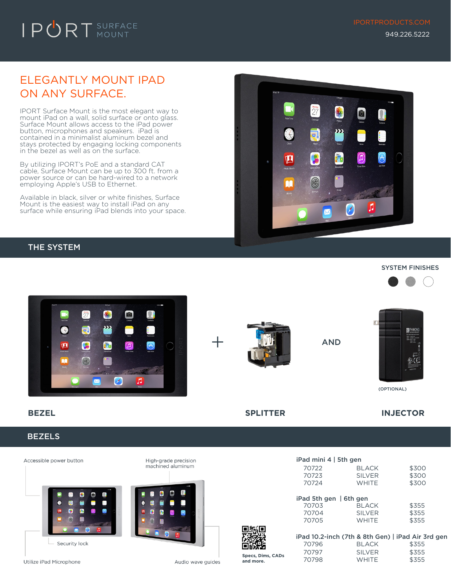## ELEGANTLY MOUNT IPAD ON ANY SURFACE.

IPORT Surface Mount is the most elegant way to mount iPad on a wall, solid surface or onto glass. Surface Mount allows access to the iPad power button, microphones and speakers. iPad is contained in a minimalist aluminum bezel and stays protected by engaging locking components in the bezel as well as on the surface.

By utilizing IPORT's PoE and a standard CAT cable, Surface Mount can be up to 300 ft. from a power source or can be hard-wired to a network employing Apple's USB to Ethernet.

Available in black, silver or white finishes, Surface Mount is the easiest way to install iPad on any surface while ensuring iPad blends into your space.



### THE SYSTEM



### BEZELS



Audio wave guides

 $\blacksquare$ 

 $\pmb{\hat{x}}$ 

 $\boldsymbol{p}$ ▬

Ð



 $i$ Pad mini 4  $i$  Fth gen





(OPTIONAL)

**BEZEL SPLITTER INJECTOR**

| 11 rdd 1111111 4   5tri gen  |               |       |
|------------------------------|---------------|-------|
| 70722                        | <b>BLACK</b>  | \$300 |
| 70723                        | <b>SILVER</b> | \$300 |
| 70724                        | <b>WHITE</b>  | \$300 |
|                              |               |       |
| iPad 5th gen $\vert$ 6th gen |               |       |
| 70703                        | <b>BLACK</b>  | \$355 |
| 70704                        | <b>SILVER</b> | \$355 |
| 70705                        | <b>WHITE</b>  | \$355 |
|                              |               |       |



**Specs, Dims, CADs and more.**

|       |              | iPad 10.2-inch (7th & 8th Gen)   iPad Air 3rd gen |
|-------|--------------|---------------------------------------------------|
| 70796 | <b>BLACK</b> | \$355                                             |
| 70797 | SII VFR      | \$355                                             |
| 70798 | <b>WHITE</b> | \$355                                             |